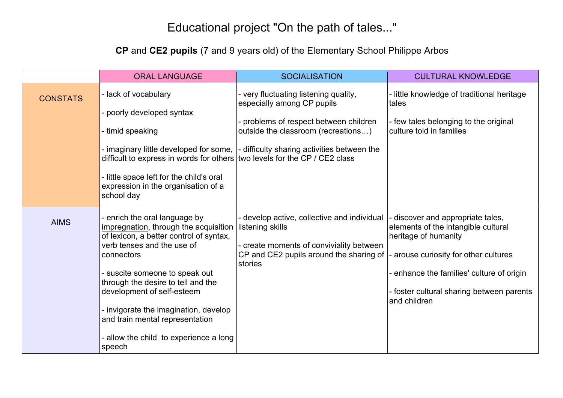## Educational project "On the path of tales..."

## **CP** and **CE2 pupils** (7 and 9 years old) of the Elementary School Philippe Arbos

|                 | <b>ORAL LANGUAGE</b>                                                                                                                                                                                                                                                                                                                                                                                | <b>SOCIALISATION</b>                                                                                                                                                                                | <b>CULTURAL KNOWLEDGE</b>                                                                                                                                                                                                                           |
|-----------------|-----------------------------------------------------------------------------------------------------------------------------------------------------------------------------------------------------------------------------------------------------------------------------------------------------------------------------------------------------------------------------------------------------|-----------------------------------------------------------------------------------------------------------------------------------------------------------------------------------------------------|-----------------------------------------------------------------------------------------------------------------------------------------------------------------------------------------------------------------------------------------------------|
| <b>CONSTATS</b> | - lack of vocabulary<br>poorly developed syntax<br>- timid speaking<br>- imaginary little developed for some,<br>difficult to express in words for others   two levels for the CP / CE2 class<br>- little space left for the child's oral<br>expression in the organisation of a<br>school day                                                                                                      | - very fluctuating listening quality,<br>especially among CP pupils<br>- problems of respect between children<br>outside the classroom (recreations)<br>- difficulty sharing activities between the | - little knowledge of traditional heritage<br>tales<br>- few tales belonging to the original<br>culture told in families                                                                                                                            |
| <b>AIMS</b>     | - enrich the oral language by<br>impregnation, through the acquisition<br>of lexicon, a better control of syntax,<br>verb tenses and the use of<br>connectors<br>- suscite someone to speak out<br>through the desire to tell and the<br>development of self-esteem<br>- invigorate the imagination, develop<br>and train mental representation<br>- allow the child to experience a long<br>speech | - develop active, collective and individual<br>listening skills<br>- create moments of conviviality between<br>CP and CE2 pupils around the sharing of<br>stories                                   | - discover and appropriate tales,<br>elements of the intangible cultural<br>heritage of humanity<br>- arouse curiosity for other cultures<br>- enhance the families' culture of origin<br>- foster cultural sharing between parents<br>and children |